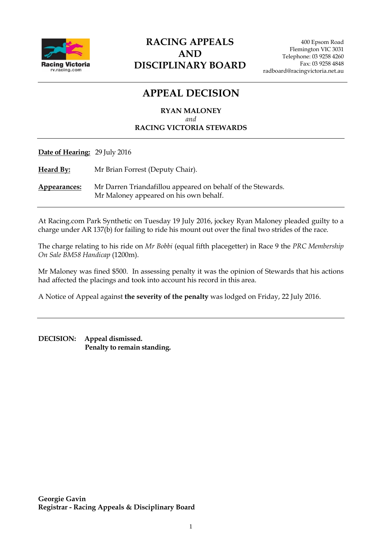

### **RACING APPEALS AND DISCIPLINARY BOARD**

## **APPEAL DECISION**

**RYAN MALONEY** *and* **RACING VICTORIA STEWARDS**

**Date of Hearing:** 29 July 2016

**Heard By:** Mr Brian Forrest (Deputy Chair).

**Appearances:** Mr Darren Triandafillou appeared on behalf of the Stewards. Mr Maloney appeared on his own behalf.

At Racing.com Park Synthetic on Tuesday 19 July 2016, jockey Ryan Maloney pleaded guilty to a charge under AR 137(b) for failing to ride his mount out over the final two strides of the race.

The charge relating to his ride on *Mr Bobbi* (equal fifth placegetter) in Race 9 the *PRC Membership On Sale BM58 Handicap* (1200m).

Mr Maloney was fined \$500. In assessing penalty it was the opinion of Stewards that his actions had affected the placings and took into account his record in this area.

A Notice of Appeal against **the severity of the penalty** was lodged on Friday, 22 July 2016.

**DECISION: Appeal dismissed. Penalty to remain standing.**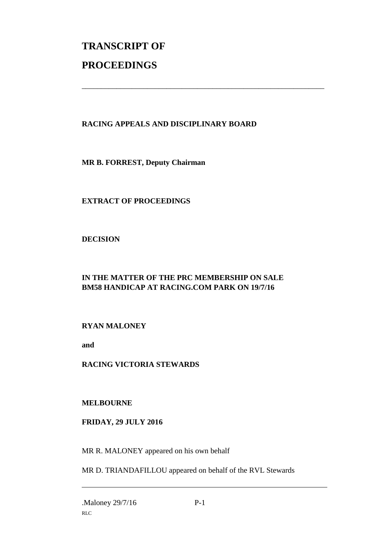# **TRANSCRIPT OF PROCEEDINGS**

#### **RACING APPEALS AND DISCIPLINARY BOARD**

\_\_\_\_\_\_\_\_\_\_\_\_\_\_\_\_\_\_\_\_\_\_\_\_\_\_\_\_\_\_\_\_\_\_\_\_\_\_\_\_\_\_\_\_\_\_\_\_\_\_\_\_\_\_\_\_\_\_\_\_\_\_\_

**MR B. FORREST, Deputy Chairman**

**EXTRACT OF PROCEEDINGS**

**DECISION**

### **IN THE MATTER OF THE PRC MEMBERSHIP ON SALE BM58 HANDICAP AT RACING.COM PARK ON 19/7/16**

**RYAN MALONEY**

**and** 

**RACING VICTORIA STEWARDS** 

**MELBOURNE**

**FRIDAY, 29 JULY 2016**

MR R. MALONEY appeared on his own behalf

MR D. TRIANDAFILLOU appeared on behalf of the RVL Stewards